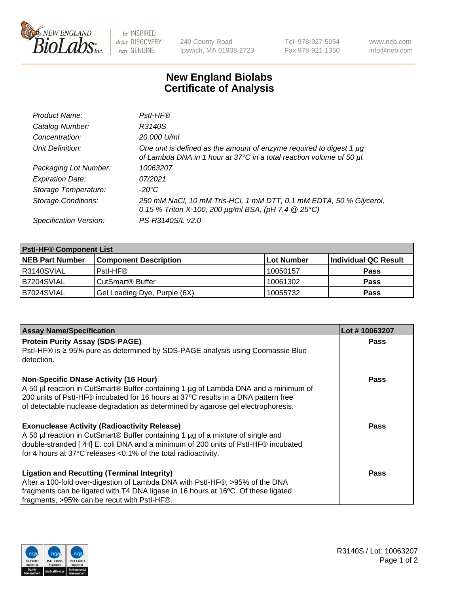

 $be$  INSPIRED drive DISCOVERY stay GENUINE

240 County Road Ipswich, MA 01938-2723 Tel 978-927-5054 Fax 978-921-1350 www.neb.com info@neb.com

## **New England Biolabs Certificate of Analysis**

| Product Name:              | Pstl-HF®                                                                                                                                             |
|----------------------------|------------------------------------------------------------------------------------------------------------------------------------------------------|
| Catalog Number:            | R3140S                                                                                                                                               |
| Concentration:             | 20,000 U/ml                                                                                                                                          |
| Unit Definition:           | One unit is defined as the amount of enzyme required to digest 1 $\mu$ g<br>of Lambda DNA in 1 hour at 37°C in a total reaction volume of 50 µl.     |
| Packaging Lot Number:      | 10063207                                                                                                                                             |
| <b>Expiration Date:</b>    | 07/2021                                                                                                                                              |
| Storage Temperature:       | $-20^{\circ}$ C                                                                                                                                      |
| <b>Storage Conditions:</b> | 250 mM NaCl, 10 mM Tris-HCl, 1 mM DTT, 0.1 mM EDTA, 50 % Glycerol,<br>0.15 % Triton X-100, 200 $\mu$ g/ml BSA, (pH 7.4 $\textcircled{25}^{\circ}$ C) |
| Specification Version:     | PS-R3140S/L v2.0                                                                                                                                     |

| <b>PstI-HF® Component List</b> |                              |            |                      |  |
|--------------------------------|------------------------------|------------|----------------------|--|
| <b>NEB Part Number</b>         | <b>Component Description</b> | Lot Number | Individual QC Result |  |
| IR3140SVIAL                    | Pstl-HF®                     | 10050157   | <b>Pass</b>          |  |
| IB7204SVIAL                    | CutSmart <sup>®</sup> Buffer | 10061302   | <b>Pass</b>          |  |
| B7024SVIAL                     | Gel Loading Dye, Purple (6X) | 10055732   | <b>Pass</b>          |  |

| <b>Assay Name/Specification</b>                                                                                                                                        | Lot #10063207 |
|------------------------------------------------------------------------------------------------------------------------------------------------------------------------|---------------|
| <b>Protein Purity Assay (SDS-PAGE)</b>                                                                                                                                 | <b>Pass</b>   |
| PstI-HF® is ≥ 95% pure as determined by SDS-PAGE analysis using Coomassie Blue<br>detection.                                                                           |               |
| <b>Non-Specific DNase Activity (16 Hour)</b>                                                                                                                           | Pass          |
| A 50 µl reaction in CutSmart® Buffer containing 1 µg of Lambda DNA and a minimum of                                                                                    |               |
| 200 units of Pstl-HF® incubated for 16 hours at 37°C results in a DNA pattern free<br>of detectable nuclease degradation as determined by agarose gel electrophoresis. |               |
|                                                                                                                                                                        |               |
| <b>Exonuclease Activity (Radioactivity Release)</b>                                                                                                                    | Pass          |
| A 50 µl reaction in CutSmart® Buffer containing 1 µg of a mixture of single and                                                                                        |               |
| double-stranded [3H] E. coli DNA and a minimum of 200 units of PstI-HF® incubated                                                                                      |               |
| for 4 hours at 37°C releases <0.1% of the total radioactivity.                                                                                                         |               |
| <b>Ligation and Recutting (Terminal Integrity)</b>                                                                                                                     | Pass          |
| After a 100-fold over-digestion of Lambda DNA with PstI-HF®, >95% of the DNA                                                                                           |               |
| fragments can be ligated with T4 DNA ligase in 16 hours at 16°C. Of these ligated                                                                                      |               |
| fragments, >95% can be recut with PstI-HF®.                                                                                                                            |               |